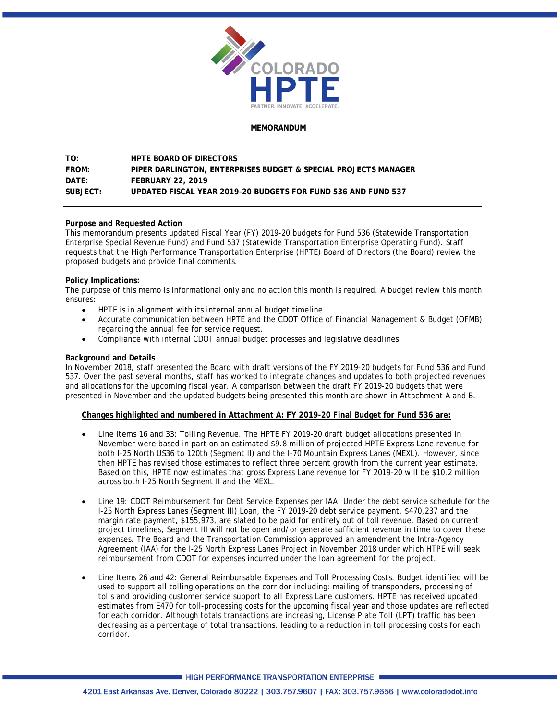

### **MEMORANDUM**

# **TO: HPTE BOARD OF DIRECTORS FROM: PIPER DARLINGTON, ENTERPRISES BUDGET & SPECIAL PROJECTS MANAGER DATE: FEBRUARY 22, 2019 SUBJECT: UPDATED FISCAL YEAR 2019-20 BUDGETS FOR FUND 536 AND FUND 537**

## **Purpose and Requested Action**

This memorandum presents updated Fiscal Year (FY) 2019-20 budgets for Fund 536 (Statewide Transportation Enterprise Special Revenue Fund) and Fund 537 (Statewide Transportation Enterprise Operating Fund). Staff requests that the High Performance Transportation Enterprise (HPTE) Board of Directors (the Board) review the proposed budgets and provide final comments.

### **Policy Implications:**

The purpose of this memo is informational only and no action this month is required. A budget review this month ensures:

- HPTE is in alignment with its internal annual budget timeline.
- Accurate communication between HPTE and the CDOT Office of Financial Management & Budget (OFMB) regarding the annual fee for service request.
- Compliance with internal CDOT annual budget processes and legislative deadlines.

## **Background and Details**

In November 2018, staff presented the Board with draft versions of the FY 2019-20 budgets for Fund 536 and Fund 537. Over the past several months, staff has worked to integrate changes and updates to both projected revenues and allocations for the upcoming fiscal year. A comparison between the draft FY 2019-20 budgets that were presented in November and the updated budgets being presented this month are shown in Attachment A and B.

## **Changes highlighted and numbered in Attachment A: FY 2019-20 Final Budget for Fund 536 are:**

- *Line Items 16 and 33: Tolling Revenue.* The HPTE FY 2019-20 draft budget allocations presented in November were based in part on an estimated \$9.8 million of projected HPTE Express Lane revenue for both I-25 North US36 to 120th (Segment II) and the I-70 Mountain Express Lanes (MEXL). However, since then HPTE has revised those estimates to reflect three percent growth from the current year estimate. Based on this, HPTE now estimates that gross Express Lane revenue for FY 2019-20 will be \$10.2 million across both I-25 North Segment II and the MEXL.
- *Line 19: CDOT Reimbursement for Debt Service Expenses per IAA.* Under the debt service schedule for the I-25 North Express Lanes (Segment III) Loan, the FY 2019-20 debt service payment, \$470,237 and the margin rate payment, \$155,973, are slated to be paid for entirely out of toll revenue. Based on current project timelines, Segment III will not be open and/or generate sufficient revenue in time to cover these expenses. The Board and the Transportation Commission approved an amendment the Intra-Agency Agreement (IAA) for the I-25 North Express Lanes Project in November 2018 under which HTPE will seek reimbursement from CDOT for expenses incurred under the loan agreement for the project.
- *Line Items 26 and 42: General Reimbursable Expenses and Toll Processing Costs.* Budget identified will be used to support all tolling operations on the corridor including: mailing of transponders, processing of tolls and providing customer service support to all Express Lane customers. HPTE has received updated estimates from E470 for toll-processing costs for the upcoming fiscal year and those updates are reflected for each corridor. Although totals transactions are increasing, License Plate Toll (LPT) traffic has been decreasing as a percentage of total transactions, leading to a reduction in toll processing costs for each corridor.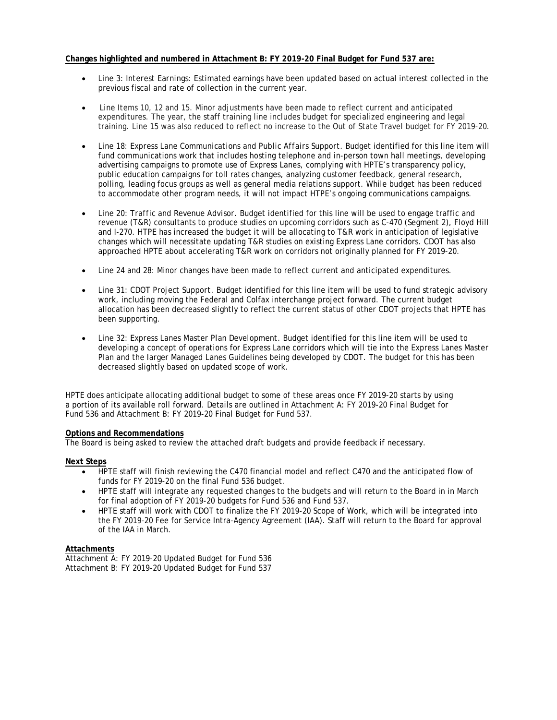### **Changes highlighted and numbered in Attachment B: FY 2019-20 Final Budget for Fund 537 are:**

- *Line 3: Interest Earnings:* Estimated earnings have been updated based on actual interest collected in the previous fiscal and rate of collection in the current year.
- *Line Items 10, 12 and 15.* Minor adjustments have been made to reflect current and anticipated expenditures. The year, the staff training line includes budget for specialized engineering and legal training. Line 15 was also reduced to reflect no increase to the Out of State Travel budget for FY 2019-20.
- *Line 18: Express Lane Communications and Public Affairs Support.* Budget identified for this line item will fund communications work that includes hosting telephone and in-person town hall meetings, developing advertising campaigns to promote use of Express Lanes, complying with HPTE's transparency policy, public education campaigns for toll rates changes, analyzing customer feedback, general research, polling, leading focus groups as well as general media relations support*.* While budget has been reduced to accommodate other program needs, it will not impact HTPE's ongoing communications campaigns.
- *Line 20: Traffic and Revenue Advisor.* Budget identified for this line will be used to engage traffic and revenue (T&R) consultants to produce studies on upcoming corridors such as C-470 (Segment 2), Floyd Hill and I-270. HTPE has increased the budget it will be allocating to T&R work in anticipation of legislative changes which will necessitate updating T&R studies on existing Express Lane corridors. CDOT has also approached HPTE about accelerating T&R work on corridors not originally planned for FY 2019-20.
- *Line 24 and 28:* Minor changes have been made to reflect current and anticipated expenditures.
- *Line 31: CDOT Project Support.* Budget identified for this line item will be used to fund strategic advisory work, including moving the Federal and Colfax interchange project forward. The current budget allocation has been decreased slightly to reflect the current status of other CDOT projects that HPTE has been supporting.
- *Line 32: Express Lanes Master Plan Development.* Budget identified for this line item will be used to developing a concept of operations for Express Lane corridors which will tie into the Express Lanes Master Plan and the larger Managed Lanes Guidelines being developed by CDOT. The budget for this has been decreased slightly based on updated scope of work.

HPTE does anticipate allocating additional budget to some of these areas once FY 2019-20 starts by using a portion of its available roll forward. Details are outlined in Attachment A: FY 2019-20 Final Budget for Fund 536 and Attachment B: FY 2019-20 Final Budget for Fund 537.

### **Options and Recommendations**

The Board is being asked to review the attached draft budgets and provide feedback if necessary.

### **Next Steps**

- HPTE staff will finish reviewing the C470 financial model and reflect C470 and the anticipated flow of funds for FY 2019-20 on the final Fund 536 budget.
- HPTE staff will integrate any requested changes to the budgets and will return to the Board in in March for final adoption of FY 2019-20 budgets for Fund 536 and Fund 537.
- HPTE staff will work with CDOT to finalize the FY 2019-20 Scope of Work, which will be integrated into the FY 2019-20 Fee for Service Intra-Agency Agreement (IAA). Staff will return to the Board for approval of the IAA in March.

### **Attachments**

Attachment A: FY 2019-20 Updated Budget for Fund 536 Attachment B: FY 2019-20 Updated Budget for Fund 537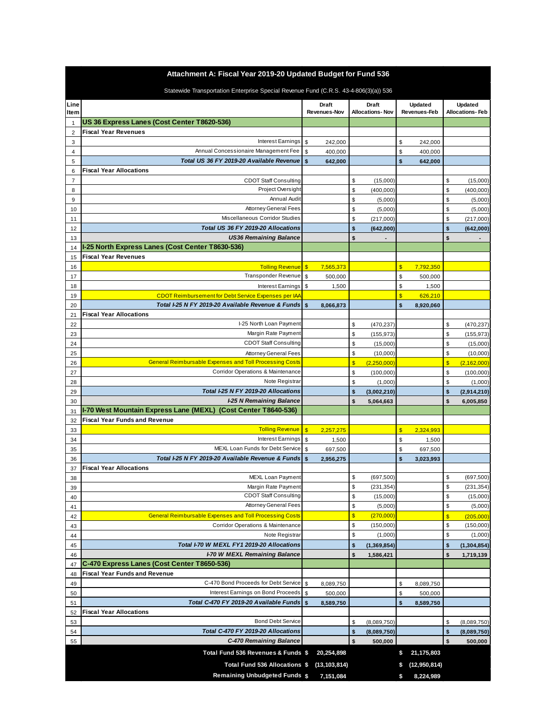| Attachment A: Fiscal Year 2019-20 Updated Budget for Fund 536 |                                                                                      |                         |                              |                         |                                 |                         |                                |                         |                                   |  |  |
|---------------------------------------------------------------|--------------------------------------------------------------------------------------|-------------------------|------------------------------|-------------------------|---------------------------------|-------------------------|--------------------------------|-------------------------|-----------------------------------|--|--|
|                                                               | Statewide Transportation Enterprise Special Revenue Fund (C.R.S. 43-4-806(3)(a)) 536 |                         |                              |                         |                                 |                         |                                |                         |                                   |  |  |
| Line<br><b>Item</b>                                           |                                                                                      |                         | Draft<br><b>Revenues-Nov</b> |                         | Draft<br><b>Allocations-Nov</b> |                         | <b>Updated</b><br>Revenues-Feb |                         | Updated<br><b>Allocations-Feb</b> |  |  |
| 1                                                             | US 36 Express Lanes (Cost Center T8620-536)                                          |                         |                              |                         |                                 |                         |                                |                         |                                   |  |  |
| $\overline{2}$                                                | <b>Fiscal Year Revenues</b>                                                          |                         |                              |                         |                                 |                         |                                |                         |                                   |  |  |
| 3                                                             | <b>Interest Earnings</b>                                                             | \$                      | 242,000                      |                         |                                 | \$                      | 242,000                        |                         |                                   |  |  |
| 4                                                             | Annual Concessionaire Management Fee                                                 | \$                      | 400,000                      |                         |                                 | \$                      | 400,000                        |                         |                                   |  |  |
| 5                                                             | Total US 36 FY 2019-20 Available Revenue                                             | \$                      | 642,000                      |                         |                                 | \$                      | 642,000                        |                         |                                   |  |  |
| 6                                                             | <b>Fiscal Year Allocations</b>                                                       |                         |                              |                         |                                 |                         |                                |                         |                                   |  |  |
| 7                                                             | <b>CDOT Staff Consulting</b>                                                         |                         |                              | \$                      | (15,000)                        |                         |                                | \$                      | (15,000)                          |  |  |
| 8                                                             | Project Oversight                                                                    |                         |                              | \$                      | (400,000)                       |                         |                                | \$                      | (400,000)                         |  |  |
| 9                                                             | Annual Audi                                                                          |                         |                              | \$                      | (5,000)                         |                         |                                | \$                      | (5,000)                           |  |  |
| 10                                                            | Attorney General Fees                                                                |                         |                              | \$                      | (5,000)                         |                         |                                | \$                      | (5,000)                           |  |  |
| 11                                                            | Miscellaneous Corridor Studies                                                       |                         |                              | \$                      | (217,000)                       |                         |                                | \$                      | (217,000)                         |  |  |
| 12                                                            | Total US 36 FY 2019-20 Allocations                                                   |                         |                              | \$                      | (642,000)                       |                         |                                | \$                      | (642,000)                         |  |  |
| 13                                                            | <b>US36 Remaining Balance</b>                                                        |                         |                              | \$                      | $\overline{\phantom{a}}$        |                         |                                | \$                      | $\overline{\phantom{a}}$          |  |  |
| 14                                                            | I-25 North Express Lanes (Cost Center T8630-536)                                     |                         |                              |                         |                                 |                         |                                |                         |                                   |  |  |
| 15                                                            | <b>Fiscal Year Revenues</b>                                                          |                         |                              |                         |                                 |                         |                                |                         |                                   |  |  |
| 16                                                            | <b>Tolling Revenue</b>                                                               | $\sqrt{3}$              | 7,565,373                    |                         |                                 | \$                      | 7,792,350                      |                         |                                   |  |  |
| 17                                                            | Transponder Revenue                                                                  | \$                      | 500,000                      |                         |                                 | \$                      | 500,000                        |                         |                                   |  |  |
| 18                                                            | <b>Interest Earnings</b>                                                             | \$                      | 1,500                        |                         |                                 | \$                      | 1,500                          |                         |                                   |  |  |
| 19                                                            | <b>CDOT Reimbursement for Debt Service Expenses per IA/</b>                          |                         |                              |                         |                                 | $\overline{\mathbb{S}}$ | 626,210                        |                         |                                   |  |  |
| 20                                                            | Total I-25 N FY 2019-20 Available Revenue & Funds                                    | $\mathbf{s}$            | 8,066,873                    |                         |                                 | $\mathbf{s}$            | 8,920,060                      |                         |                                   |  |  |
| 21                                                            | <b>Fiscal Year Allocations</b>                                                       |                         |                              |                         |                                 |                         |                                |                         |                                   |  |  |
| 22                                                            | I-25 North Loan Payment                                                              |                         |                              | \$                      | (470, 237)                      |                         |                                | \$                      | (470, 237)                        |  |  |
| 23                                                            | Margin Rate Payment                                                                  |                         |                              | \$                      | (155, 973)                      |                         |                                | \$                      | (155, 973)                        |  |  |
| 24                                                            | <b>CDOT Staff Consulting</b>                                                         |                         |                              | \$                      | (15,000)                        |                         |                                | \$                      | (15,000)                          |  |  |
| 25                                                            | <b>Attorney General Fees</b>                                                         |                         |                              | \$                      | (10,000)                        |                         |                                | \$                      | (10,000)                          |  |  |
| 26                                                            | <b>General Reimbursable Expenses and Toll Processing Costs</b>                       |                         |                              | $\overline{\mathbf{S}}$ | (2,250,000)                     |                         |                                | $\overline{\mathbb{S}}$ | (2, 162, 000)                     |  |  |
| 27                                                            | Corridor Operations & Maintenance                                                    |                         |                              | \$                      | (100,000)                       |                         |                                | \$                      | (100,000)                         |  |  |
| 28                                                            | Note Registra                                                                        |                         |                              | \$                      | (1,000)                         |                         |                                | \$                      | (1,000)                           |  |  |
| 29                                                            | Total I-25 N FY 2019-20 Allocations                                                  |                         |                              | \$                      | (3,002,210)                     |                         |                                | \$                      | (2,914,210)                       |  |  |
| 30                                                            | <b>I-25 N Remaining Balance</b>                                                      |                         |                              | \$                      | 5,064,663                       |                         |                                | \$                      | 6,005,850                         |  |  |
| 31                                                            | I-70 West Mountain Express Lane (MEXL) (Cost Center T8640-536)                       |                         |                              |                         |                                 |                         |                                |                         |                                   |  |  |
| 32                                                            | <b>Fiscal Year Funds and Revenue</b>                                                 |                         |                              |                         |                                 |                         |                                |                         |                                   |  |  |
| 33                                                            | <b>Tolling Revenue</b>                                                               | $\overline{\mathbb{S}}$ | 2,257,275                    |                         |                                 | \$                      | 2,324,993                      |                         |                                   |  |  |
| 34                                                            | Interest Earnings                                                                    | \$                      | 1,500                        |                         |                                 | \$                      | 1,500                          |                         |                                   |  |  |
| 35                                                            | MEXL Loan Funds for Debt Service                                                     | \$                      | 697,500                      |                         |                                 | \$                      | 697,500                        |                         |                                   |  |  |
| 36                                                            | Total I-25 N FY 2019-20 Available Revenue & Funds                                    | \$                      | 2,956,275                    |                         |                                 | \$                      | 3,023,993                      |                         |                                   |  |  |
| 37                                                            | <b>Fiscal Year Allocations</b>                                                       |                         |                              |                         |                                 |                         |                                |                         |                                   |  |  |
| 38                                                            | MEXL Loan Payment                                                                    |                         |                              | \$                      | (697, 500)                      |                         |                                | \$                      | (697, 500)                        |  |  |
| 39                                                            | Margin Rate Payment<br><b>CDOT Staff Consulting</b>                                  |                         |                              | \$                      | (231, 354)                      |                         |                                | \$                      | (231, 354)                        |  |  |
| 40                                                            | <b>Attorney General Fees</b>                                                         |                         |                              | \$                      | (15,000)                        |                         |                                | \$                      | (15,000)                          |  |  |
| 41                                                            |                                                                                      |                         |                              | \$                      | (5,000)                         |                         |                                | \$                      | (5,000)                           |  |  |
| 42                                                            | <b>General Reimbursable Expenses and Toll Processing Costs</b>                       |                         |                              | $\sqrt{3}$              | (270,000)                       |                         |                                | $\overline{\mathbf{S}}$ | (205,000)                         |  |  |
| 43                                                            | Corridor Operations & Maintenance                                                    |                         |                              | \$                      | (150,000)                       |                         |                                | \$                      | (150,000)                         |  |  |
| 44                                                            | Note Registrar                                                                       |                         |                              | \$                      | (1,000)                         |                         |                                | \$                      | (1,000)                           |  |  |
| 45                                                            | Total I-70 W MEXL FY1 2019-20 Allocations                                            |                         |                              | \$                      | (1, 369, 854)                   |                         |                                | \$                      | (1, 304, 854)                     |  |  |
| 46                                                            | <b>I-70 W MEXL Remaining Balance</b>                                                 |                         |                              | \$                      | 1,586,421                       |                         |                                | \$                      | 1,719,139                         |  |  |
| 47                                                            | C-470 Express Lanes (Cost Center T8650-536)                                          |                         |                              |                         |                                 |                         |                                |                         |                                   |  |  |
| 48                                                            | Fiscal Year Funds and Revenue                                                        |                         |                              |                         |                                 |                         |                                |                         |                                   |  |  |
| 49                                                            | C-470 Bond Proceeds for Debt Service                                                 | $\mathfrak{S}$          | 8,089,750                    |                         |                                 | \$                      | 8,089,750                      |                         |                                   |  |  |
| 50                                                            | Interest Earnings on Bond Proceeds                                                   | \$                      | 500,000                      |                         |                                 | \$                      | 500,000                        |                         |                                   |  |  |
| 51                                                            | Total C-470 FY 2019-20 Available Funds                                               | $\mathbf{s}$            | 8,589,750                    |                         |                                 | $\mathbf{s}$            | 8,589,750                      |                         |                                   |  |  |
| 52                                                            | <b>Fiscal Year Allocations</b>                                                       |                         |                              |                         |                                 |                         |                                |                         |                                   |  |  |
| 53                                                            | <b>Bond Debt Service</b>                                                             |                         |                              | \$                      | (8,089,750)                     |                         |                                | \$                      | (8,089,750)                       |  |  |
| 54                                                            | Total C-470 FY 2019-20 Allocations                                                   |                         |                              | \$                      | (8,089,750)                     |                         |                                | \$                      | (8,089,750)                       |  |  |
| 55                                                            | C-470 Remaining Balance                                                              |                         |                              | \$                      | 500,000                         |                         |                                | \$                      | 500,000                           |  |  |
|                                                               | Total Fund 536 Revenues & Funds \$                                                   |                         | 20,254,898                   |                         |                                 | \$                      | 21,175,803                     |                         |                                   |  |  |
|                                                               | Total Fund 536 Allocations \$                                                        |                         | (13, 103, 814)               |                         |                                 | \$.                     | (12,950,814)                   |                         |                                   |  |  |
|                                                               | <b>Remaining Unbudgeted Funds \$</b>                                                 |                         | 7,151,084                    |                         |                                 |                         | 8,224,989                      |                         |                                   |  |  |